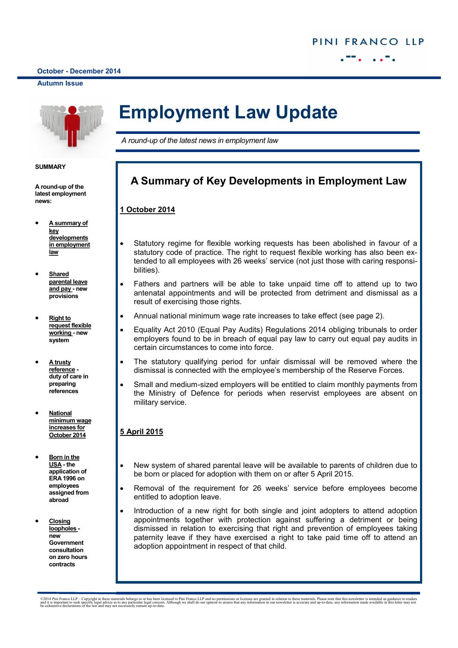**October - December 2014** ī

#### **Autumn Issue**



#### **SUMMARY**

**A round-up of the latest employment news:**

- **A summary of key developments in employment law**
- **Shared parental leave and pay - new provisions**
- **Right to request flexible working - new system**
- **A trusty reference duty of care in preparing references**
- **National minimum wage increases for October 2014**
- **Born in the USA - the application of ERA 1996 on employees assigned from abroad**
- **Closing loopholes new Government consultation on zero hours contracts**

# **Employment Law Update**

*A round-up of the latest news in employment law*

# **A Summary of Key Developments in Employment Law**

### **1 October 2014**

- Statutory regime for flexible working requests has been abolished in favour of a statutory code of practice. The right to request flexible working has also been extended to all employees with 26 weeks' service (not just those with caring responsibilities).
- Fathers and partners will be able to take unpaid time off to attend up to two antenatal appointments and will be protected from detriment and dismissal as a result of exercising those rights.
- Annual national minimum wage rate increases to take effect (see page 2).
- Equality Act 2010 (Equal Pay Audits) Regulations 2014 obliging tribunals to order employers found to be in breach of equal pay law to carry out equal pay audits in certain circumstances to come into force.
- The statutory qualifying period for unfair dismissal will be removed where the dismissal is connected with the employee's membership of the Reserve Forces.
- Small and medium-sized employers will be entitled to claim monthly payments from the Ministry of Defence for periods when reservist employees are absent on military service.

# **5 April 2015**

- New system of shared parental leave will be available to parents of children due to be born or placed for adoption with them on or after 5 April 2015.
- Removal of the requirement for 26 weeks' service before employees become entitled to adoption leave.
- Introduction of a new right for both single and joint adopters to attend adoption appointments together with protection against suffering a detriment or being dismissed in relation to exercising that right and prevention of employees taking paternity leave if they have exercised a right to take paid time off to attend an adoption appointment in respect of that child.

©2014 Pini Franco LLP – Copyright in these materials belongs to or has been licensed to Pini Franco LLP and no permissions or licenses are granted in relation to these materials. Please note that this newsletter is intende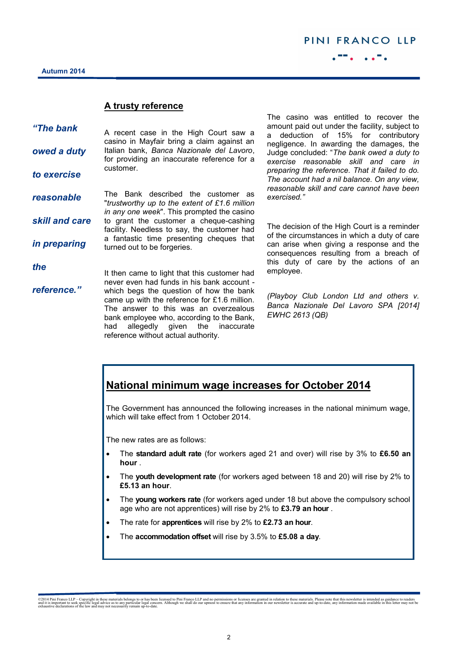## **A trusty reference**

| "The bank      | A recent case in the High Court saw a<br>casino in Mayfair bring a claim against an                                                                                                                                                                               |
|----------------|-------------------------------------------------------------------------------------------------------------------------------------------------------------------------------------------------------------------------------------------------------------------|
| owed a duty    | Italian bank, Banca Nazionale del Lavoro,<br>for providing an inaccurate reference for a                                                                                                                                                                          |
| to exercise    | customer.                                                                                                                                                                                                                                                         |
| reasonable     | The Bank described the customer as<br>"trustworthy up to the extent of £1.6 million<br>in any one week". This prompted the casino                                                                                                                                 |
| skill and care | to grant the customer a cheque-cashing<br>facility. Needless to say, the customer had                                                                                                                                                                             |
| in preparing   | a fantastic time presenting cheques that<br>turned out to be forgeries.                                                                                                                                                                                           |
| the            | It then came to light that this customer had                                                                                                                                                                                                                      |
| reference."    | never even had funds in his bank account -<br>which begs the question of how the bank<br>came up with the reference for £1.6 million.<br>The answer to this was an overzealous<br>bank employee who, according to the Bank,<br>had allegedly given the inaccurate |

The casino was entitled to recover the amount paid out under the facility, subject to a deduction of 15% for contributory negligence. In awarding the damages, the Judge concluded: "*The bank owed a duty to exercise reasonable skill and care in preparing the reference. That it failed to do. The account had a nil balance. On any view, reasonable skill and care cannot have been exercised."*

The decision of the High Court is a reminder of the circumstances in which a duty of care can arise when giving a response and the consequences resulting from a breach of this duty of care by the actions of an employee.

*(Playboy Club London Ltd and others v. Banca Nazionale Del Lavoro SPA [2014] EWHC 2613 (QB)*

# **National minimum wage increases for October 2014**

The Government has announced the following increases in the national minimum wage, which will take effect from 1 October 2014.

The new rates are as follows:

reference without actual authority.

- The **standard adult rate** (for workers aged 21 and over) will rise by 3% to **£6.50 an hour** .
- The **youth development rate** (for workers aged between 18 and 20) will rise by 2% to **£5.13 an hour**.
- The **young workers rate** (for workers aged under 18 but above the compulsory school age who are not apprentices) will rise by 2% to **£3.79 an hour** .
- The rate for **apprentices** will rise by 2% to **£2.73 an hour**.
- The **accommodation offset** will rise by 3.5% to **£5.08 a day**.

<sup>©2014</sup> Pini Franco LLP – Copyright in these materials belongs to or has been licensed to Pini Franco LLP and no permissions or licenses are granted in relation to these materials. Please note that this newsletter is intende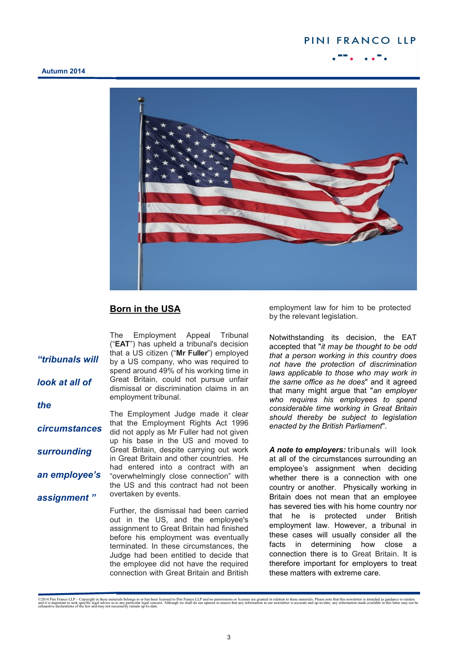# PINI FRANCO LLP

### **Autumn 2014**



# **Born in the USA**

The Employment Appeal Tribunal ("**EAT**") has upheld a tribunal's decision that a US citizen ("**Mr Fuller**") employed by a US company, who was required to spend around 49% of his working time in Great Britain, could not pursue unfair dismissal or discrimination claims in an employment tribunal. The Employment Judge made it clear that the Employment Rights Act 1996 did not apply as Mr Fuller had not given up his base in the US and moved to Great Britain, despite carrying out work in Great Britain and other countries. He had entered into a contract with an "overwhelmingly close connection" with the US and this contract had not been overtaken by events. Further, the dismissal had been carried out in the US, and the employee's assignment to Great Britain had finished before his employment was eventually *"tribunals will look at all of the circumstances surrounding an employee's assignment "*

> terminated. In these circumstances, the Judge had been entitled to decide that the employee did not have the required connection with Great Britain and British

employment law for him to be protected by the relevant legislation.

Notwithstanding its decision, the EAT accepted that "*it may be thought to be odd that a person working in this country does not have the protection of discrimination laws applicable to those who may work in the same office as he does*" and it agreed that many might argue that "*an employer who requires his employees to spend considerable time working in Great Britain should thereby be subject to legislation enacted by the British Parliament*".

*A note to employers:* tribunals will look at all of the circumstances surrounding an employee's assignment when deciding whether there is a connection with one country or another. Physically working in Britain does not mean that an employee has severed ties with his home country nor that he is protected under British employment law. However, a tribunal in these cases will usually consider all the facts in determining how close a connection there is to Great Britain. It is therefore important for employers to treat these matters with extreme care.

©2014 Pini Franco LLP – Copyright in these materials belongs to or has been licensed to Pini Franco LLP and no permissions or licenses are granted in relation to these materials. Please note that this newsletter is intende